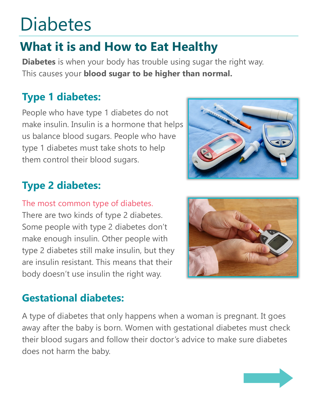## **Diabetes**

## **What it is and How to Eat Healthy**

**Diabetes** is when your body has trouble using sugar the right way. This causes your **blood sugar to be higher than normal.** 

## **Type 1 diabetes:**

People who have type 1 diabetes do not make insulin. Insulin is a hormone that helps us balance blood sugars. People who have type 1 diabetes must take shots to help them control their blood sugars.



## **Type 2 diabetes:**

#### The most common type of diabetes.

There are two kinds of type 2 diabetes. Some people with type 2 diabetes don't make enough insulin. Other people with type 2 diabetes still make insulin, but they are insulin resistant. This means that their body doesn't use insulin the right way.



### **Gestational diabetes:**

A type of diabetes that only happens when a woman is pregnant. It goes away after the baby is born. Women with gestational diabetes must check their blood sugars and follow their doctor's advice to make sure diabetes does not harm the baby.